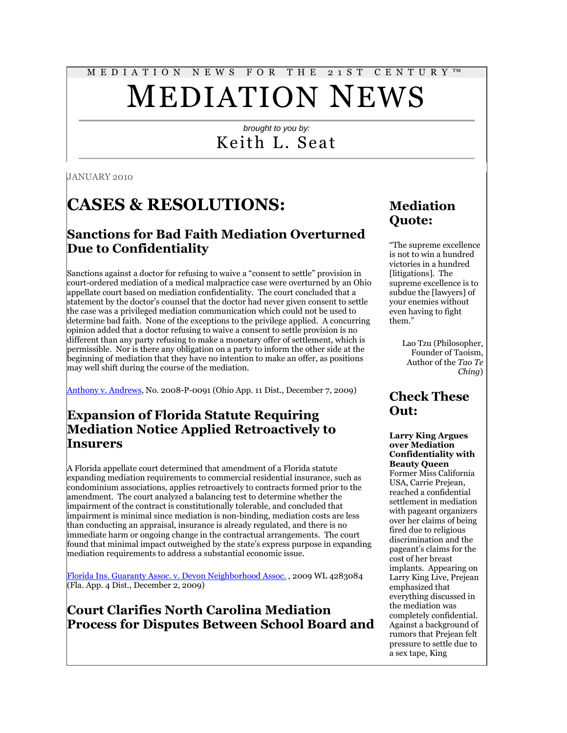# M E D I A T I O N N E W S F O R T H E 2 1 S T C E N T U R Y ™

# MEDIATION NEWS

# *brought to you by:* Keith L. Seat

JANUARY 2010

# **CASES & RESOLUTIONS:**

# **Sanctions for Bad Faith Mediation Overturned Due to Confidentiality**

Sanctions against a doctor for refusing to waive a "consent to settle" provision in court-ordered mediation of a medical malpractice case were overturned by an Ohio appellate court based on mediation confidentiality. The court concluded that a statement by the doctor's counsel that the doctor had never given consent to settle the case was a privileged mediation communication which could not be used to determine bad faith. None of the exceptions to the privilege applied. A concurring opinion added that a doctor refusing to waive a consent to settle provision is no different than any party refusing to make a monetary offer of settlement, which is permissible. Nor is there any obligation on a party to inform the other side at the beginning of mediation that they have no intention to make an offer, as positions may well shift during the course of the mediation.

[Anthony v. Andrews,](http://tinyurl.com/yllm9sk) No. 2008-P-0091 (Ohio App. 11 Dist., December 7, 2009)

# **Expansion of Florida Statute Requiring Mediation Notice Applied Retroactively to Insurers**

A Florida appellate court determined that amendment of a Florida statute expanding mediation requirements to commercial residential insurance, such as condominium associations, applies retroactively to contracts formed prior to the amendment. The court analyzed a balancing test to determine whether the impairment of the contract is constitutionally tolerable, and concluded that impairment is minimal since mediation is non-binding, mediation costs are less than conducting an appraisal, insurance is already regulated, and there is no immediate harm or ongoing change in the contractual arrangements. The court found that minimal impact outweighed by the state's express purpose in expanding mediation requirements to address a substantial economic issue.

[Florida Ins. Guaranty Assoc. v. Devon Neighborhood Assoc.](http://www.4dca.org/opinions/Dec%202009/12-02-09/4D09-377.op.pdf) , 2009 WL 4283084 (Fla. App. 4 Dist., December 2, 2009)

**Court Clarifies North Carolina Mediation Process for Disputes Between School Board and** 

# **Mediation Quote:**

"The supreme excellence is not to win a hundred victories in a hundred [litigations]. The supreme excellence is to subdue the [lawyers] of your enemies without even having to fight them."

> Lao Tzu (Philosopher, Founder of Taoism, Author of the *Tao Te Ching*)

# **Check These Out:**

#### **Larry King Argues over Mediation Confidentiality with Beauty Queen**

Former Miss California USA, Carrie Prejean, reached a confidential settlement in mediation with pageant organizers over her claims of being fired due to religious discrimination and the pageant's claims for the cost of her breast implants. Appearing on Larry King Live, Prejean emphasized that everything discussed in the mediation was completely confidential. Against a background of rumors that Prejean felt pressure to settle due to a sex tape, King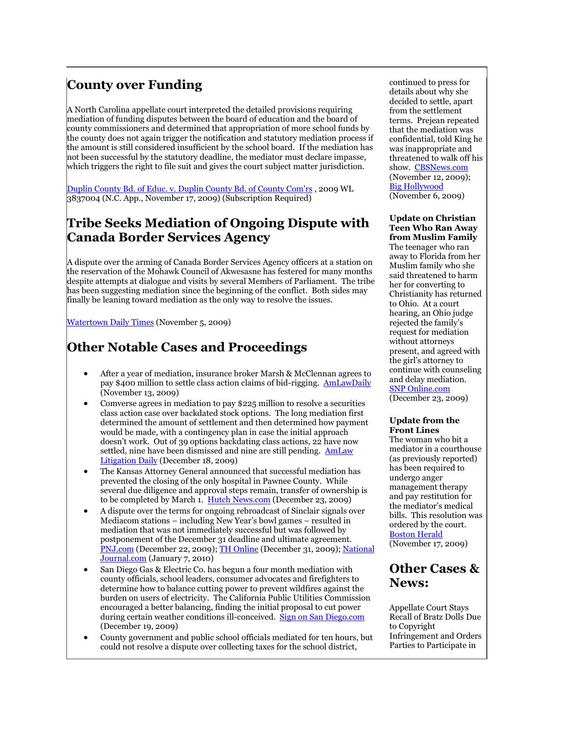# **County over Funding**

A North Carolina appellate court interpreted the detailed provisions requiring mediation of funding disputes between the board of education and the board of county commissioners and determined that appropriation of more school funds by the county does not again trigger the notification and statutory mediation process if the amount is still considered insufficient by the school board. If the mediation has not been successful by the statutory deadline, the mediator must declare impasse, which triggers the right to file suit and gives the court subject matter jurisdiction.

[Duplin County Bd. of Educ. v. Duplin County Bd. of County Com'rs](http://tinyurl.com/yj8x85h) , 2009 WL  $3837004$  (N.C. App., November 17, 2009) (Subscription Required)

### **Tribe Seeks Mediation of Ongoing Dispute with Canada Border Services Agency**

A dispute over the arming of Canada Border Services Agency officers at a station on the reservation of the Mohawk Council of Akwesasne has festered for many months despite attempts at dialogue and visits by several Members of Parliament. The tribe has been suggesting mediation since the beginning of the conflict. Both sides may finally be leaning toward mediation as the only way to resolve the issues.

[Watertown Daily Times](http://www.watertowndailytimes.com/article/20091105/NEWS05/311059958) (November 5, 2009)

# **Other Notable Cases and Proceedings**

- After a year of mediation, insurance broker Marsh & McClennan agrees to pay \$400 million to settle class action claims of bid-rigging. [AmLawDaily](http://tinyurl.com/ybhnrx3) (November 13, 2009)
- Comverse agrees in mediation to pay \$225 million to resolve a securities class action case over backdated stock options. The long mediation first determined the amount of settlement and then determined how payment would be made, with a contingency plan in case the initial approach doesn't work. Out of 39 options backdating class actions, 22 have now settled, nine have been dismissed and nine are still pending. [AmLaw](http://tinyurl.com/yhzhkhg)  [Litigation Daily](http://tinyurl.com/yhzhkhg) (December 18, 2009)
- The Kansas Attorney General announced that successful mediation has prevented the closing of the only hospital in Pawnee County. While several due diligence and approval steps remain, transfer of ownership is to be completed by March 1. [Hutch News.com](http://www.hutchnews.com/Todaystop/hospital2009-12-23T19-57-41) (December 23, 2009)
- A dispute over the terms for ongoing rebroadcast of Sinclair signals over Mediacom stations – including New Year's bowl games – resulted in mediation that was not immediately successful but was followed by postponement of the December 31 deadline and ultimate agreement. [PNJ.com](http://tinyurl.com/yjxx3ap) (December 22, 2009)[; TH Online](http://www.thonline.com/article.cfm?id=268310.) (December 31, 2009); National [Journal.com](http://techdailydose.nationaljournal.com/2010/01/sinclair-mediacom-reach-deal.php) (January 7, 2010)
- San Diego Gas & Electric Co. has begun a four month mediation with county officials, school leaders, consumer advocates and firefighters to determine how to balance cutting power to prevent wildfires against the burden on users of electricity. The California Public Utilities Commission encouraged a better balancing, finding the initial proposal to cut power during certain weather conditions ill-conceived. [Sign on San Diego.com](http://www.signonsandiego.com/news/2009/dec/19/sdge-critics-gather-talks/) (December 19, 2009)
- County government and public school officials mediated for ten hours, but could not resolve a dispute over collecting taxes for the school district,

continued to press for details about why she decided to settle, apart from the settlement terms. Prejean repeated that the mediation was confidential, told King he was inappropriate and threatened to walk off his show. [CBSNews.com](http://www.cbsnews.com/blogs/2009/11/12/crimesider/entry5628274.shtml) (November 12, 2009); [Big Hollywood](http://tinyurl.com/y85c4lp) (November 6, 2009)

#### **Update on Christian Teen Who Ran Away from Muslim Family**

The teenager who ran away to Florida from her Muslim family who she said threatened to harm her for converting to Christianity has returned to Ohio. At a court hearing, an Ohio judge rejected the family's request for mediation without attorneys present, and agreed with the girl's attorney to continue with counseling and delay mediation. [SNP Online.com](http://www.snponline.com/articles/2009/12/23/multiple_papers/news/allnabary%20_20091223_0315pm_20.txt)

(December 23, 2009)

#### **Update from the Front Lines**

The woman who bit a mediator in a courthouse (as previously reported) has been required to undergo anger management therapy and pay restitution for the mediator's medical bills. This resolution was ordered by the court. [Boston Herald](http://tinyurl.com/ycu8ga5) (November 17, 2009)

# **Other Cases & News:**

Appellate Court Stays Recall of Bratz Dolls Due to Copyright Infringement and Orders Parties to Participate in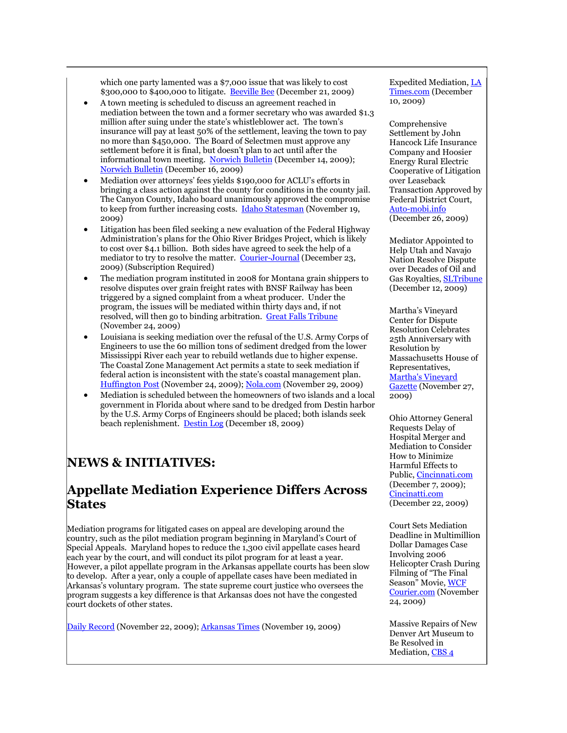which one party lamented was a \$7,000 issue that was likely to cost \$300,000 to \$400,000 to litigate. [Beeville Bee](http://tinyurl.com/yhtg4da) (December 21, 2009)

- A town meeting is scheduled to discuss an agreement reached in mediation between the town and a former secretary who was awarded \$1.3 million after suing under the state's whistleblower act. The town's insurance will pay at least 50% of the settlement, leaving the town to pay no more than \$450,000. The Board of Selectmen must approve any settlement before it is final, but doesn't plan to act until after the informational town meeting. [Norwich Bulletin](http://www.norwichbulletin.com/news/x1479446324/Griswold-Charron-reach-tentative-deal) (December 14, 2009); [Norwich Bulletin](http://tinyurl.com/yhrlh7g) (December 16, 2009)
- Mediation over attorneys' fees yields \$190,000 for ACLU's efforts in bringing a class action against the county for conditions in the county jail. The Canyon County, Idaho board unanimously approved the compromise to keep from further increasing costs. **[Idaho Statesman](http://www.idahostatesman.com/mobile/story/980219.html)** (November 19, 2009)
- Litigation has been filed seeking a new evaluation of the Federal Highway Administration's plans for the Ohio River Bridges Project, which is likely to cost over \$4.1 billion. Both sides have agreed to seek the help of a mediator to try to resolve the matter. [Courier-Journal](http://tinyurl.com/yg66ayz) (December 23, 2009) (Subscription Required)
- The mediation program instituted in 2008 for Montana grain shippers to resolve disputes over grain freight rates with BNSF Railway has been triggered by a signed complaint from a wheat producer. Under the program, the issues will be mediated within thirty days and, if not resolved, will then go to binding arbitration. [Great Falls Tribune](http://tinyurl.com/yzfj7dy) (November 24, 2009)
- Louisiana is seeking mediation over the refusal of the U.S. Army Corps of Engineers to use the 60 million tons of sediment dredged from the lower Mississippi River each year to rebuild wetlands due to higher expense. The Coastal Zone Management Act permits a state to seek mediation if federal action is inconsistent with the state's coastal management plan. [Huffington Post](http://tinyurl.com/yb5jpeh) (November 24, 2009)[; Nola.com](http://www.nola.com/opinions/index.ssf/2009/11/new_orleans_area_mud-wrestles.html) (November 29, 2009)
- Mediation is scheduled between the homeowners of two islands and a local government in Florida about where sand to be dredged from Destin harbor by the U.S. Army Corps of Engineers should be placed; both islands seek beach replenishment. [Destin Log](http://www.thedestinlog.com/news/isle-12310-last-homeowners.html) (December 18, 2009)

# **NEWS & INITIATIVES:**

### **Appellate Mediation Experience Differs Across States**

Mediation programs for litigated cases on appeal are developing around the country, such as the pilot mediation program beginning in Maryland's Court of Special Appeals. Maryland hopes to reduce the 1,300 civil appellate cases heard each year by the court, and will conduct its pilot program for at least a year. However, a pilot appellate program in the Arkansas appellate courts has been slow to develop. After a year, only a couple of appellate cases have been mediated in Arkansas's voluntary program. The state supreme court justice who oversees the program suggests a key difference is that Arkansas does not have the congested court dockets of other states.

[Daily Record](http://findarticles.com/p/articles/mi_qn4183/is_20091122/ai_n42260240/) (November 22, 2009)[; Arkansas Times](http://tinyurl.com/y869obn) (November 19, 2009)

Expedited Mediation[, LA](http://www.latimes.com/business/la-fi-mga-bratz10-2009dec10,0,1400332.story)  [Times.com](http://www.latimes.com/business/la-fi-mga-bratz10-2009dec10,0,1400332.story) (December 10, 2009)

Comprehensive Settlement by John Hancock Life Insurance Company and Hoosier Energy Rural Electric Cooperative of Litigation over Leaseback Transaction Approved by Federal District Court, [Auto-mobi.info](http://www.auto-mobi.info/index.php?option=com_content&task=view&id=12790&Itemid=50) (December 26, 2009)

Mediator Appointed to Help Utah and Navajo Nation Resolve Dispute over Decades of Oil and Gas Royalties, [SLTribune](http://www.sltrib.com/news/ci_13985901) (December 12, 2009)

Martha's Vineyard Center for Dispute Resolution Celebrates 25th Anniversary with Resolution by Massachusetts House of Representatives, [Martha's Vineyard](http://www.mvgazette.com/article.php?23720)  [Gazette](http://www.mvgazette.com/article.php?23720) (November 27, 2009)

Ohio Attorney General Requests Delay of Hospital Merger and Mediation to Consider How to Minimize Harmful Effects to Public[, Cincinnati.com](http://tinyurl.com/ykzjy3c) (December 7, 2009); [Cincinatti.com](http://news.cincinnati.com/article/20091222/NEWS01/312220044/Hospitals+asked+to+delay+merger) (December 22, 2009)

Court Sets Mediation Deadline in Multimillion Dollar Damages Case Involving 2006 Helicopter Crash During Filming of "The Final Season" Movie, [WCF](http://www.wcfcourier.com/news/local/article_d94b5120-d91e-11de-ab36-001cc4c03286.html)  [Courier.com](http://www.wcfcourier.com/news/local/article_d94b5120-d91e-11de-ab36-001cc4c03286.html) (November 24, 2009)

Massive Repairs of New Denver Art Museum to Be Resolved in Mediation[, CBS 4](http://cbs4denver.com/investigates/hamilton.wing.museum.2.1386668.html)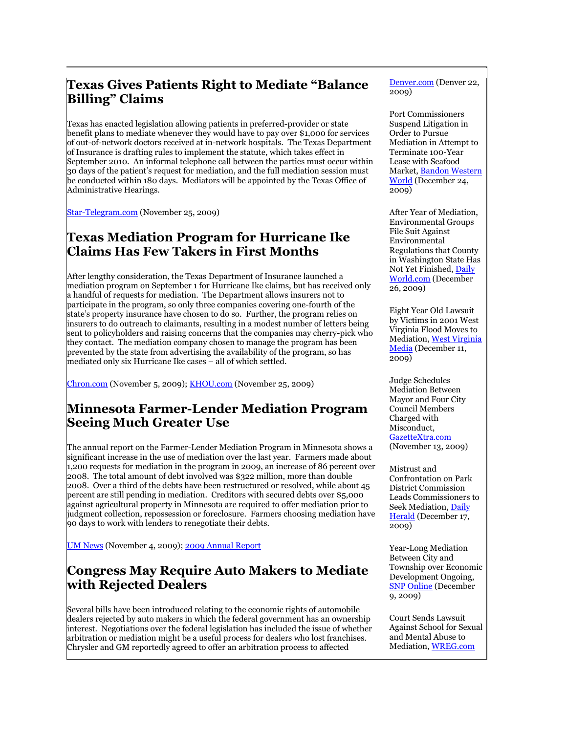# **Texas Gives Patients Right to Mediate "Balance Billing" Claims**

Texas has enacted legislation allowing patients in preferred-provider or state benefit plans to mediate whenever they would have to pay over \$1,000 for services of out-of-network doctors received at in-network hospitals. The Texas Department of Insurance is drafting rules to implement the statute, which takes effect in September 2010. An informal telephone call between the parties must occur within 30 days of the patient's request for mediation, and the full mediation session must be conducted within 180 days. Mediators will be appointed by the Texas Office of Administrative Hearings.

[Star-Telegram.com](http://www.star-telegram.com/texas/story/1791293.html) (November 25, 2009)

### **Texas Mediation Program for Hurricane Ike Claims Has Few Takers in First Months**

After lengthy consideration, the Texas Department of Insurance launched a mediation program on September 1 for Hurricane Ike claims, but has received only a handful of requests for mediation. The Department allows insurers not to participate in the program, so only three companies covering one-fourth of the state's property insurance have chosen to do so. Further, the program relies on insurers to do outreach to claimants, resulting in a modest number of letters being sent to policyholders and raising concerns that the companies may cherry-pick who they contact. The mediation company chosen to manage the program has been prevented by the state from advertising the availability of the program, so has mediated only six Hurricane Ike cases – all of which settled.

[Chron.com](http://www.chron.com/disp/story.mpl/business/6703990.html) (November 5, 2009)[; KHOU.com](http://tinyurl.com/yakcjp5) (November 25, 2009)

### **Minnesota Farmer-Lender Mediation Program Seeing Much Greater Use**

The annual report on the Farmer-Lender Mediation Program in Minnesota shows a significant increase in the use of mediation over the last year. Farmers made about 1,200 requests for mediation in the program in 2009, an increase of 86 percent over 2008. The total amount of debt involved was \$322 million, more than double 2008. Over a third of the debts have been restructured or resolved, while about 45 percent are still pending in mediation. Creditors with secured debts over \$5,000 against agricultural property in Minnesota are required to offer mediation prior to judgment collection, repossession or foreclosure. Farmers choosing mediation have 90 days to work with lenders to renegotiate their debts.

[UM News](http://tinyurl.com/ydjlxh5) (November 4, 2009); [2009 Annual Report](http://www.extension.umn.edu/go/1012)

# **Congress May Require Auto Makers to Mediate with Rejected Dealers**

Several bills have been introduced relating to the economic rights of automobile dealers rejected by auto makers in which the federal government has an ownership interest. Negotiations over the federal legislation has included the issue of whether arbitration or mediation might be a useful process for dealers who lost franchises. Chrysler and GM reportedly agreed to offer an arbitration process to affected

Denver.com (Denver 22, 2009)

Port Commissioners Suspend Litigation in Order to Pursue Mediation in Attempt to Terminate 100-Year Lease with Seafood Market, [Bandon Western](http://www.bandonwesternworld.com/articles/2009/12/24/news/doc4b32b785765e9484077416.txt)  [World](http://www.bandonwesternworld.com/articles/2009/12/24/news/doc4b32b785765e9484077416.txt) (December 24, 2009)

After Year of Mediation, Environmental Groups File Suit Against Environmental Regulations that County in Washington State Has Not Yet Finished, [Daily](http://www.thedailyworld.com/articles/2009/12/26/local_news/doc4b35b81a7eb76197681007.txt)  [World.com](http://www.thedailyworld.com/articles/2009/12/26/local_news/doc4b35b81a7eb76197681007.txt) (December 26, 2009)

Eight Year Old Lawsuit by Victims in 2001 West Virginia Flood Moves to Mediation[, West Virginia](http://www.wvnstv.com/story.cfm?func=viewstory&storyid=71773)  [Media](http://www.wvnstv.com/story.cfm?func=viewstory&storyid=71773) (December 11, 2009)

Judge Schedules Mediation Between Mayor and Four City Council Members Charged with Misconduct, [GazetteXtra.com](http://tinyurl.com/y882z58) (November 13, 2009)

Mistrust and Confrontation on Park District Commission Leads Commissioners to Seek Mediation, [Daily](http://www.dailyherald.com/story/?id=344965)  [Herald](http://www.dailyherald.com/story/?id=344965) (December 17, 2009)

Year-Long Mediation Between City and Township over Economic Development Ongoing, [SNP Online](http://tinyurl.com/yknwooe) (December 9, 2009)

Court Sends Lawsuit Against School for Sexual and Mental Abuse to Mediation[, WREG.com](http://www.wreg.com/news/sns-ap-ms--schoolabuselawsuit,0,6446947.story)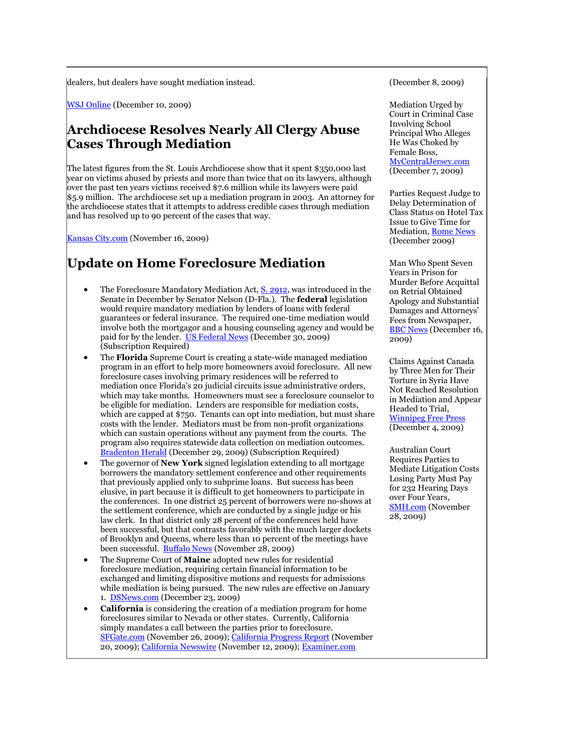dealers, but dealers have sought mediation instead.

[WSJ Online](http://tinyurl.com/ykftscp) (December 10, 2009)

# **Archdiocese Resolves Nearly All Clergy Abuse Cases Through Mediation**

The latest figures from the St. Louis Archdiocese show that it spent \$350,000 last year on victims abused by priests and more than twice that on its lawyers, although over the past ten years victims received \$7.6 million while its lawyers were paid \$5.9 million. The archdiocese set up a mediation program in 2003. An attorney for the archdiocese states that it attempts to address credible cases through mediation and has resolved up to 90 percent of the cases that way.

[Kansas City.com](http://www.kansascity.com/news/breaking_news/story/1573694.html) (November 16, 2009)

# **Update on Home Foreclosure Mediation**

- The Foreclosure Mandatory Mediation Act, [S. 2912,](http://www.gpo.gov/fdsys/pkg/BILLS-111s2912IS/pdf/BILLS-111s2912IS.pdf) was introduced in the Senate in December by Senator Nelson (D-Fla.). The **federal** legislation would require mandatory mediation by lenders of loans with federal guarantees or federal insurance. The required one-time mediation would involve both the mortgagor and a housing counseling agency and would be paid for by the lender. [US Federal News](http://tinyurl.com/yfy2tvb) (December 30, 2009) (Subscription Required)
- The **Florida** Supreme Court is creating a state-wide managed mediation program in an effort to help more homeowners avoid foreclosure. All new foreclosure cases involving primary residences will be referred to mediation once Florida's 20 judicial circuits issue administrative orders, which may take months. Homeowners must see a foreclosure counselor to be eligible for mediation. Lenders are responsible for mediation costs, which are capped at \$750. Tenants can opt into mediation, but must share costs with the lender. Mediators must be from non-profit organizations which can sustain operations without any payment from the courts. The program also requires statewide data collection on mediation outcomes. [Bradenton Herald](http://tinyurl.com/yhe2q7n) (December 29, 2009) (Subscription Required)
- The governor of **New York** signed legislation extending to all mortgage borrowers the mandatory settlement conference and other requirements that previously applied only to subprime loans. But success has been elusive, in part because it is difficult to get homeowners to participate in the conferences. In one district 25 percent of borrowers were no-shows at the settlement conference, which are conducted by a single judge or his law clerk. In that district only 28 percent of the conferences held have been successful, but that contrasts favorably with the much larger dockets of Brooklyn and Queens, where less than 10 percent of the meetings have been successful. [Buffalo News](http://www.buffalonews.com/145/story/876424.html) (November 28, 2009)
- The Supreme Court of **Maine** adopted new rules for residential foreclosure mediation, requiring certain financial information to be exchanged and limiting dispositive motions and requests for admissions while mediation is being pursued. The new rules are effective on January 1. [DSNews.com](http://tinyurl.com/yjgmrmf) (December 23, 2009)
- **California** is considering the creation of a mediation program for home foreclosures similar to Nevada or other states. Currently, California simply mandates a call between the parties prior to foreclosure. [SFGate.com](http://www.sfgate.com/cgi-bin/article.cgi?f=/c/a/2009/11/25/BAO81AM52L.DTL) (November 26, 2009); [California Progress Report](http://www.californiaprogressreport.com/site/?q=node/7151) (November 20, 2009); [California Newswire](http://californianewswire.com/2009/11/12/CNW6043_230726.php) (November 12, 2009); [Examiner.com](http://tinyurl.com/yefsbno)

(December 8, 2009)

Mediation Urged by Court in Criminal Case Involving School Principal Who Alleges He Was Choked by Female Boss, [MyCentralJersey.com](http://tinyurl.com/ygspodv) (December 7, 2009)

Parties Request Judge to Delay Determination of Class Status on Hotel Tax Issue to Give Time for Mediation[, Rome News](http://tinyurl.com/ykpqfkv) (December 2009)

Man Who Spent Seven Years in Prison for Murder Before Acquittal on Retrial Obtained Apology and Substantial Damages and Attorneys' Fees from Newspaper, [BBC News](http://news.bbc.co.uk/2/hi/uk_news/8415772.stm) (December 16, 2009)

Claims Against Canada by Three Men for Their Torture in Syria Have Not Reached Resolution in Mediation and Appear Headed to Trial, [Winnipeg Free Press](http://www.winnipegfreepress.com/canada/breakingnews/78561012.html) (December 4, 2009)

Australian Court Requires Parties to Mediate Litigation Costs Losing Party Must Pay for 232 Hearing Days over Four Years, [SMH.com](http://www.smh.com.au/business/jodee-richs-team-prefers-a-bicycle-view-of-court-costs-20091127-jwu2.html) (November 28, 2009)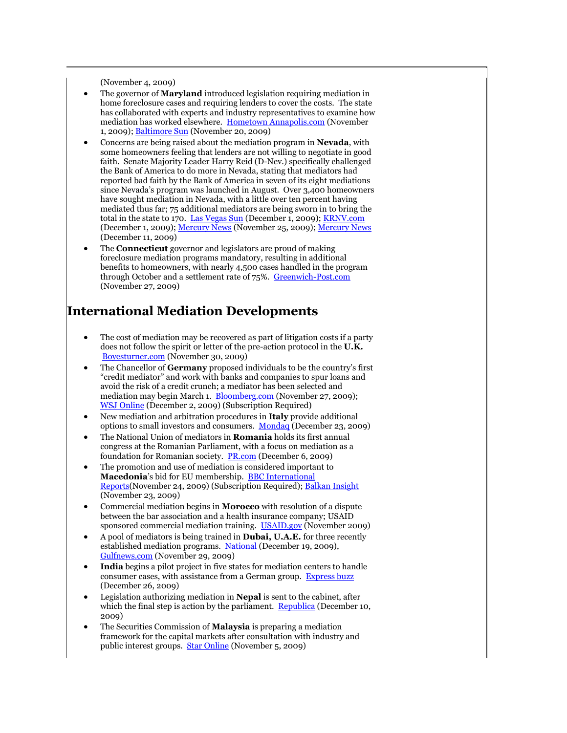(November 4, 2009)

- The governor of **Maryland** introduced legislation requiring mediation in home foreclosure cases and requiring lenders to cover the costs. The state has collaborated with experts and industry representatives to examine how mediation has worked elsewhere. [Hometown Annapolis.com](http://tinyurl.com/ydbp4sq) (November 1, 2009)[; Baltimore Sun](http://www.baltimoresun.com/business/real-estate/bal-bz.mortgage20nov20,0,2355080.story) (November 20, 2009)
- Concerns are being raised about the mediation program in **Nevada**, with some homeowners feeling that lenders are not willing to negotiate in good faith. Senate Majority Leader Harry Reid (D-Nev.) specifically challenged the Bank of America to do more in Nevada, stating that mediators had reported bad faith by the Bank of America in seven of its eight mediations since Nevada's program was launched in August. Over 3,400 homeowners have sought mediation in Nevada, with a little over ten percent having mediated thus far; 75 additional mediators are being sworn in to bring the total in the state to 170. [Las Vegas Sun](http://tinyurl.com/yfqqgtb) (December 1, 2009); [KRNV.com](http://www.krnv.com/Global/story.asp?S=11599919) (December 1, 2009)[; Mercury News](http://www.mercurynews.com/california/ci_13868583) (November 25, 2009)[; Mercury News](http://www.mercurynews.com/news/ci_13976069) (December 11, 2009)
- The **Connecticut** governor and legislators are proud of making foreclosure mediation programs mandatory, resulting in additional benefits to homeowners, with nearly 4,500 cases handled in the program through October and a settlement rate of 75%. [Greenwich-Post.com](http://tinyurl.com/yzccevz) (November 27, 2009)

# **International Mediation Developments**

- The cost of mediation may be recovered as part of litigation costs if a party does not follow the spirit or letter of the pre-action protocol in the **U.K.**  [Boyesturner.com](http://www.boyesturner.com/uploads/news/20091126051927-PLJ238%20p12-15%20Starr.pdf) (November 30, 2009)
- The Chancellor of **Germany** proposed individuals to be the country's first "credit mediator" and work with banks and companies to spur loans and avoid the risk of a credit crunch; a mediator has been selected and mediation may begin March 1. [Bloomberg.com](http://www.bloomberg.com/apps/news?pid=20601100&sid=a4AUlriQ9nak) (November 27, 2009); [WSJ Online](http://online.wsj.com/article/SB125975493378672717.html) (December 2, 2009) (Subscription Required)
- New mediation and arbitration procedures in **Italy** provide additional options to small investors and consumers. [Mondaq](http://www.mondaq.com/article.asp?articleid=91402) (December 23, 2009)
- The National Union of mediators in **Romania** holds its first annual congress at the Romanian Parliament, with a focus on mediation as a foundation for Romanian society. [PR.com](http://www.pr.com/press-release/197521) (December 6, 2009)
- The promotion and use of mediation is considered important to **Macedonia**'s bid for EU membership. [BBC International](http://tinyurl.com/yhwml63)  [Reports\(](http://tinyurl.com/yhwml63)November 24, 2009) (Subscription Required)[; Balkan Insight](http://www.balkaninsight.com/en/main/news/23888/) (November 23, 2009)
- Commercial mediation begins in **Morocco** with resolution of a dispute between the bar association and a health insurance company; USAID sponsored commercial mediation training. [USAID.gov](http://www.usaid.gov/press/frontlines/fl_nov09/p16_mediation091129.html) (November 2009)
- A pool of mediators is being trained in **Dubai, U.A.E.** for three recently established mediation programs. [National](http://www.thenational.ae/apps/pbcs.dll/article?AID=/20091220/BUSINESS/712199874/1005) (December 19, 2009), [Gulfnews.com](http://tinyurl.com/yzy65gr) (November 29, 2009)
- **India** begins a pilot project in five states for mediation centers to handle consumer cases, with assistance from a German group. [Express buzz](http://tinyurl.com/ykxyde9) (December 26, 2009)
- Legislation authorizing mediation in **Nepal** is sent to the cabinet, after which the final step is action by the parliament. [Republica](http://www.myrepublica.com/portal/index.php?action=news_details&news_id=12751) (December 10, 2009)
- The Securities Commission of **Malaysia** is preparing a mediation framework for the capital markets after consultation with industry and public interest groups. [Star Online](http://tinyurl.com/yeu97lq) (November 5, 2009)